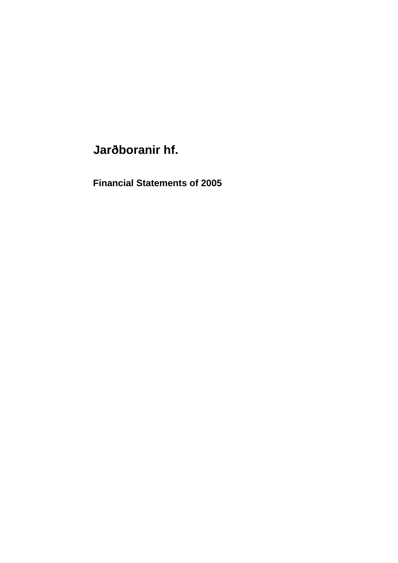# **Jarðboranir hf.**

**Financial Statements of 2005**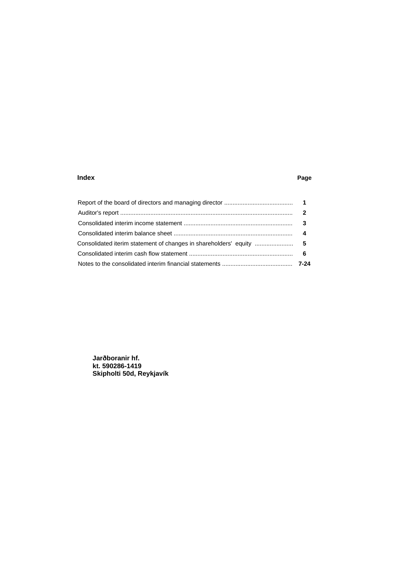### **Index Page**

**Jarðboranir hf. kt. 590286-1419 Skipholti 50d, Reykjavík**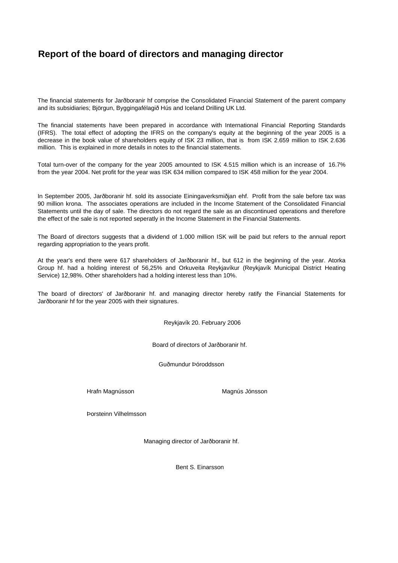# **Report of the board of directors and managing director**

The financial statements for Jarðboranir hf comprise the Consolidated Financial Statement of the parent company and its subsidiaries; Björgun, Byggingafélagið Hús and Iceland Drilling UK Ltd.

The financial statements have been prepared in accordance with International Financial Reporting Standards (IFRS). The total effect of adopting the IFRS on the company's equity at the beginning of the year 2005 is a decrease in the book value of shareholders equity of ISK 23 million, that is from ISK 2.659 million to ISK 2.636 million. This is explained in more details in notes to the financial statements.

Total turn-over of the company for the year 2005 amounted to ISK 4.515 million which is an increase of 16.7% from the year 2004. Net profit for the year was ISK 634 million compared to ISK 458 million for the year 2004.

In September 2005, Jarðboranir hf. sold its associate Einingaverksmiðjan ehf. Profit from the sale before tax was 90 million krona. The associates operations are included in the Income Statement of the Consolidated Financial Statements until the day of sale. The directors do not regard the sale as an discontinued operations and therefore the effect of the sale is not reported seperatly in the Income Statement in the Financial Statements.

The Board of directors suggests that a dividend of 1.000 million ISK will be paid but refers to the annual report regarding appropriation to the years profit.

At the year's end there were 617 shareholders of Jarðboranir hf., but 612 in the beginning of the year. Atorka Group hf. had a holding interest of 56,25% and Orkuveita Reykjavíkur (Reykjavík Municipal District Heating Service) 12,98%. Other shareholders had a holding interest less than 10%.

The board of directors' of Jarðboranir hf. and managing director hereby ratify the Financial Statements for Jarðboranir hf for the year 2005 with their signatures.

Reykjavík 20. February 2006

Board of directors of Jarðboranir hf.

Guðmundur Þóroddsson

Hrafn Magnússon **Magnús Jónsson** Magnús Jónsson

Þorsteinn Vilhelmsson

Managing director of Jarðboranir hf.

Bent S. Einarsson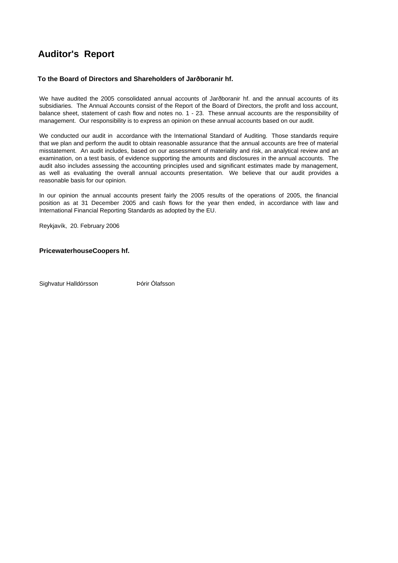# **Auditor's Report**

# **To the Board of Directors and Shareholders of Jarðboranir hf.**

We have audited the 2005 consolidated annual accounts of Jarðboranir hf. and the annual accounts of its subsidiaries. The Annual Accounts consist of the Report of the Board of Directors, the profit and loss account, balance sheet, statement of cash flow and notes no. 1 - 23. These annual accounts are the responsibility of management. Our responsibility is to express an opinion on these annual accounts based on our audit.

We conducted our audit in accordance with the International Standard of Auditing. Those standards require that we plan and perform the audit to obtain reasonable assurance that the annual accounts are free of material misstatement. An audit includes, based on our assessment of materiality and risk, an analytical review and an examination, on a test basis, of evidence supporting the amounts and disclosures in the annual accounts. The audit also includes assessing the accounting principles used and significant estimates made by management, as well as evaluating the overall annual accounts presentation. We believe that our audit provides a reasonable basis for our opinion.

In our opinion the annual accounts present fairly the 2005 results of the operations of 2005, the financial position as at 31 December 2005 and cash flows for the year then ended, in accordance with law and International Financial Reporting Standards as adopted by the EU.

Reykjavík, 20. February 2006

# **PricewaterhouseCoopers hf.**

Sighvatur Halldórsson **Dórir Ólafsson**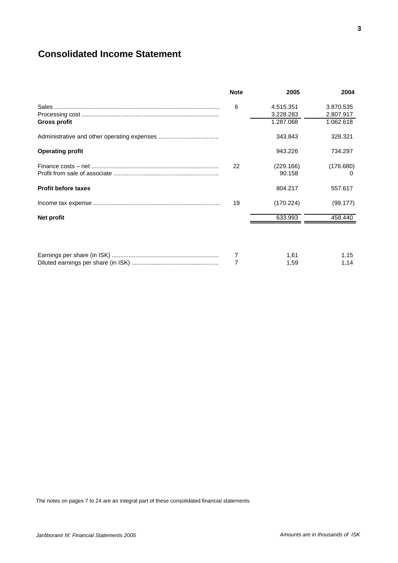# **Consolidated Income Statement**

|                            | <b>Note</b> | 2005                   | 2004                   |
|----------------------------|-------------|------------------------|------------------------|
|                            | 6           | 4.515.351<br>3.228.283 | 3.870.535<br>2.807.917 |
| Gross profit               |             | 1.287.068              | 1.062.618              |
|                            |             | 343.843                | 328,321                |
| <b>Operating profit</b>    |             | 943.226                | 734.297                |
|                            | 22          | (229.166)              | (176.680)              |
|                            |             | 90.158                 | $\mathbf{0}$           |
| <b>Profit before taxes</b> |             | 804.217                | 557.617                |
|                            | 19          | (170.224)              | (99.177)               |
| Net profit                 |             | 633.993                | 458.440                |
|                            |             |                        |                        |
|                            | 7           | 1,61                   | 1,15                   |
|                            | 7           | 1,59                   | 1,14                   |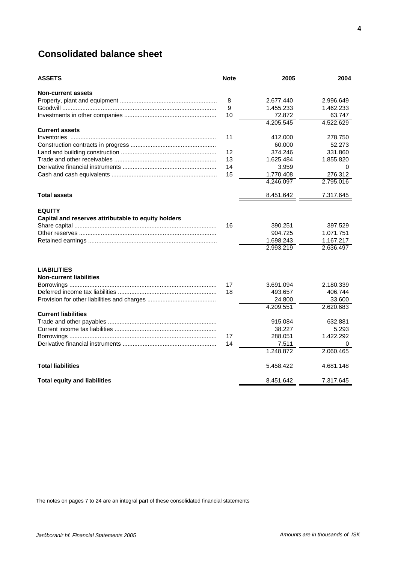# **Consolidated balance sheet**

| <b>ASSETS</b>                                                        | <b>Note</b> | 2005                                         | 2004                                           |
|----------------------------------------------------------------------|-------------|----------------------------------------------|------------------------------------------------|
| <b>Non-current assets</b>                                            |             |                                              |                                                |
|                                                                      | 8           | 2.677.440                                    | 2.996.649                                      |
|                                                                      | 9           | 1.455.233                                    | 1.462.233                                      |
|                                                                      | 10          | 72.872                                       | 63.747                                         |
|                                                                      |             | 4.205.545                                    | 4.522.629                                      |
| <b>Current assets</b>                                                |             |                                              |                                                |
|                                                                      | 11          | 412.000                                      | 278.750                                        |
|                                                                      |             | 60.000                                       | 52.273                                         |
|                                                                      | 12          | 374.246                                      | 331.860                                        |
|                                                                      | 13          | 1.625.484                                    | 1.855.820                                      |
|                                                                      | 14          | 3.959                                        | 0                                              |
|                                                                      | 15          | 1.770.408                                    | 276.312                                        |
|                                                                      |             | 4.246.097                                    | 2.795.016                                      |
| <b>Total assets</b>                                                  |             | 8.451.642                                    | 7.317.645                                      |
| <b>EQUITY</b><br>Capital and reserves attributable to equity holders | 16          | 390.251<br>904.725<br>1.698.243<br>2.993.219 | 397.529<br>1.071.751<br>1.167.217<br>2.636.497 |
| <b>LIABILITIES</b><br><b>Non-current liabilities</b>                 | 17<br>18    | 3.691.094<br>493.657<br>24.800<br>4.209.551  | 2.180.339<br>406.744<br>33.600<br>2.620.683    |
| <b>Current liabilities</b>                                           |             |                                              |                                                |
|                                                                      |             | 915.084                                      | 632.881                                        |
|                                                                      |             | 38.227                                       | 5.293                                          |
|                                                                      | 17          | 288.051                                      | 1.422.292                                      |
|                                                                      | 14          | 7.511                                        | 0                                              |
|                                                                      |             | 1.248.872                                    | 2.060.465                                      |
| <b>Total liabilities</b>                                             |             | 5.458.422                                    | 4.681.148                                      |
| <b>Total equity and liabilities</b>                                  |             | 8.451.642                                    | 7.317.645                                      |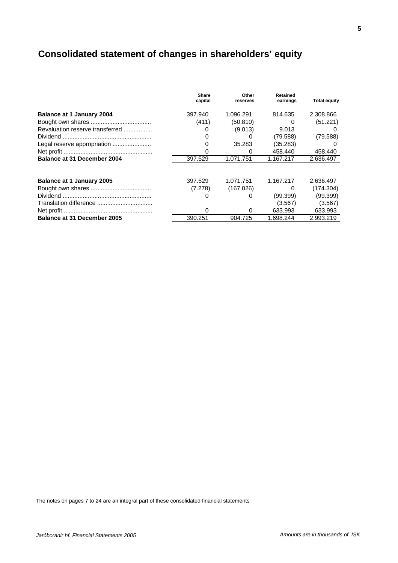# **Consolidated statement of changes in shareholders' equity**

|                                    | Share<br>capital | Other<br>reserves | <b>Retained</b><br>earnings | <b>Total equity</b> |
|------------------------------------|------------------|-------------------|-----------------------------|---------------------|
| Balance at 1 January 2004          | 397.940          | 1.096.291         | 814.635                     | 2.308.866           |
|                                    | (411)            | (50.810)          | $\Omega$                    | (51.221)            |
| Revaluation reserve transferred    |                  | (9.013)           | 9.013                       |                     |
|                                    |                  | $\Omega$          | (79.588)                    | (79.588)            |
| Legal reserve appropriation        |                  | 35.283            | (35.283)                    |                     |
|                                    |                  | 0                 | 458.440                     | 458.440             |
| Balance at 31 December 2004        | 397.529          | 1.071.751         | 1.167.217                   | 2.636.497           |
| <b>Balance at 1 January 2005</b>   | 397.529          | 1.071.751         | 1.167.217                   | 2.636.497           |
|                                    | (7.278)          | (167.026)         | 0                           | (174.304)           |
|                                    | O                |                   | (99.399)                    | (99.399)            |
|                                    |                  |                   | (3.567)                     | (3.567)             |
|                                    | 0                | $\Omega$          | 633.993                     | 633.993             |
| <b>Balance at 31 December 2005</b> | 390.251          | 904.725           | 1.698.244                   | 2.993.219           |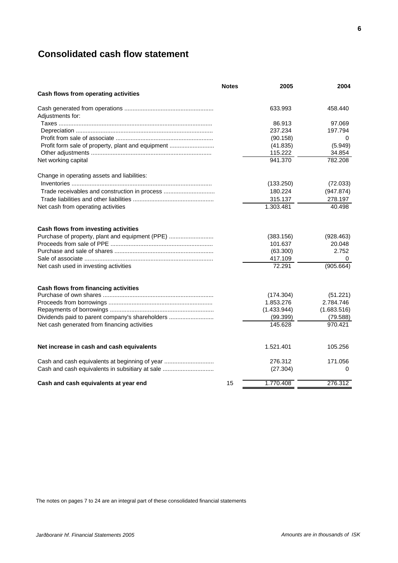# **Consolidated cash flow statement**

|                                                   | <b>Notes</b> | 2005        | 2004        |
|---------------------------------------------------|--------------|-------------|-------------|
| Cash flows from operating activities              |              |             |             |
|                                                   |              | 633.993     | 458.440     |
| Adjustments for:                                  |              |             |             |
|                                                   |              | 86.913      | 97.069      |
|                                                   |              | 237.234     | 197.794     |
|                                                   |              | (90.158)    | 0           |
| Profit form sale of property, plant and equipment |              | (41.835)    | (5.949)     |
|                                                   |              | 115.222     | 34.854      |
| Net working capital                               |              | 941.370     | 782.208     |
| Change in operating assets and liabilities:       |              |             |             |
|                                                   |              | (133.250)   | (72.033)    |
| Trade receivables and construction in process     |              | 180.224     | (947.874)   |
|                                                   |              | 315.137     | 278.197     |
| Net cash from operating activities                |              | 1.303.481   | 40.498      |
| Cash flows from investing activities              |              |             |             |
| Purchase of property, plant and equipment (PPE)   |              | (383.156)   | (928.463)   |
|                                                   |              | 101.637     | 20.048      |
|                                                   |              | (63.300)    | 2.752       |
|                                                   |              | 417.109     | 0           |
| Net cash used in investing activities             |              | 72.291      | (905.664)   |
| Cash flows from financing activities              |              |             |             |
|                                                   |              | (174.304)   | (51.221)    |
|                                                   |              | 1.853.276   | 2.784.746   |
|                                                   |              | (1.433.944) | (1.683.516) |
| Dividends paid to parent company's shareholders   |              | (99.399)    | (79.588)    |
| Net cash generated from financing activities      |              | 145.628     | 970.421     |
| Net increase in cash and cash equivalents         |              | 1.521.401   | 105.256     |
| Cash and cash equivalents at beginning of year    |              | 276.312     | 171.056     |
|                                                   |              |             | 0           |
| Cash and cash equivalents in subsitiary at sale   |              | (27.304)    |             |
| Cash and cash equivalents at year end             | 15           | 1.770.408   | 276.312     |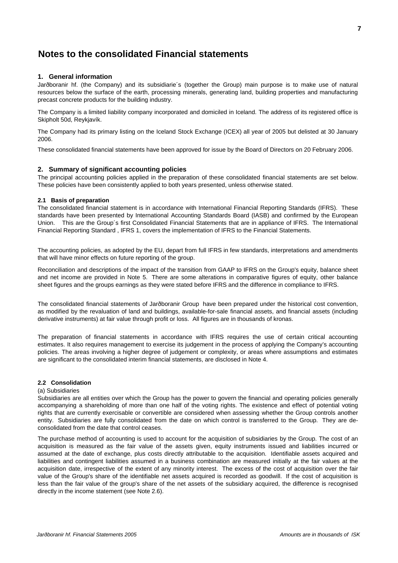### **1. General information**

Jarðboranir hf. (the Company) and its subsidiarie's (together the Group) main purpose is to make use of natural resources below the surface of the earth, processing minerals, generating land, building properties and manufacturing precast concrete products for the building industry.

The Company is a limited liability company incorporated and domiciled in Iceland. The address of its registered office is Skipholt 50d, Reykjavík.

The Company had its primary listing on the Iceland Stock Exchange (ICEX) all year of 2005 but delisted at 30 January 2006.

These consolidated financial statements have been approved for issue by the Board of Directors on 20 February 2006.

### **2. Summary of significant accounting policies**

The principal accounting policies applied in the preparation of these consolidated financial statements are set below. These policies have been consistently applied to both years presented, unless otherwise stated.

### **2.1 Basis of preparation**

The consolidated financial statement is in accordance with International Financial Reporting Standards (IFRS). These standards have been presented by International Accounting Standards Board (IASB) and confirmed by the European Union. This are the Group´s first Consolidated Financial Statements that are in appliance of IFRS. The International Financial Reporting Standard , IFRS 1, covers the implementation of IFRS to the Financial Statements.

The accounting policies, as adopted by the EU, depart from full IFRS in few standards, interpretations and amendments that will have minor effects on future reporting of the group.

Reconciliation and descriptions of the impact of the transition from GAAP to IFRS on the Group's equity, balance sheet and net income are provided in Note 5. There are some alterations in comparative figures of equity, other balance sheet figures and the groups earnings as they were stated before IFRS and the difference in compliance to IFRS.

The consolidated financial statements of Jarðboranir Group have been prepared under the historical cost convention, as modified by the revaluation of land and buildings, available-for-sale financial assets, and financial assets (including derivative instruments) at fair value through profit or loss. All figures are in thousands of kronas.

The preparation of financial statements in accordance with IFRS requires the use of certain critical accounting estimates. It also requires management to exercise its judgement in the process of applying the Company's accounting policies. The areas involving a higher degree of judgement or complexity, or areas where assumptions and estimates are significant to the consolidated interim financial statements, are disclosed in Note 4.

### **2.2 Consolidation**

### (a) Subsidiaries

Subsidiaries are all entities over which the Group has the power to govern the financial and operating policies generally accompanying a shareholding of more than one half of the voting rights. The existence and effect of potential voting rights that are currently exercisable or convertible are considered when assessing whether the Group controls another entity. Subsidiaries are fully consolidated from the date on which control is transferred to the Group. They are deconsolidated from the date that control ceases.

The purchase method of accounting is used to account for the acquisition of subsidiaries by the Group. The cost of an acquisition is measured as the fair value of the assets given, equity instruments issued and liabilities incurred or assumed at the date of exchange, plus costs directly attributable to the acquisition. Identifiable assets acquired and liabilities and contingent liabilities assumed in a business combination are measured initially at the fair values at the acquisition date, irrespective of the extent of any minority interest. The excess of the cost of acquisition over the fair value of the Group's share of the identifiable net assets acquired is recorded as goodwill. If the cost of acquisition is less than the fair value of the group's share of the net assets of the subsidiary acquired, the difference is recognised directly in the income statement (see Note 2.6).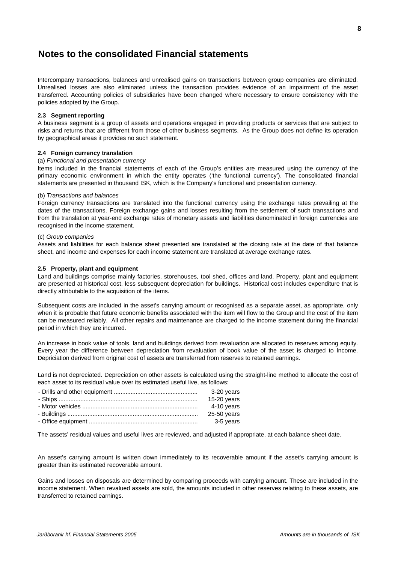Intercompany transactions, balances and unrealised gains on transactions between group companies are eliminated. Unrealised losses are also eliminated unless the transaction provides evidence of an impairment of the asset transferred. Accounting policies of subsidiaries have been changed where necessary to ensure consistency with the policies adopted by the Group.

#### **2.3 Segment reporting**

A business segment is a group of assets and operations engaged in providing products or services that are subject to risks and returns that are different from those of other business segments. As the Group does not define its operation by geographical areas it provides no such statement.

#### **2.4 Foreign currency translation**

#### (a) *Functional and presentation currency*

Items included in the financial statements of each of the Group's entities are measured using the currency of the primary economic environment in which the entity operates ('the functional currency'). The consolidated financial statements are presented in thousand ISK, which is the Company's functional and presentation currency.

#### (b) *Transactions and balances*

Foreign currency transactions are translated into the functional currency using the exchange rates prevailing at the dates of the transactions. Foreign exchange gains and losses resulting from the settlement of such transactions and from the translation at year-end exchange rates of monetary assets and liabilities denominated in foreign currencies are recognised in the income statement.

#### (c) *Group companies*

Assets and liabilities for each balance sheet presented are translated at the closing rate at the date of that balance sheet, and income and expenses for each income statement are translated at average exchange rates.

#### **2.5 Property, plant and equipment**

Land and buildings comprise mainly factories, storehouses, tool shed, offices and land. Property, plant and equipment are presented at historical cost, less subsequent depreciation for buildings. Historical cost includes expenditure that is directly attributable to the acquisition of the items.

Subsequent costs are included in the asset's carrying amount or recognised as a separate asset, as appropriate, only when it is probable that future economic benefits associated with the item will flow to the Group and the cost of the item can be measured reliably. All other repairs and maintenance are charged to the income statement during the financial period in which they are incurred.

An increase in book value of tools, land and buildings derived from revaluation are allocated to reserves among equity. Every year the difference between depreciation from revaluation of book value of the asset is charged to Income. Depriciation derived from original cost of assets are transferred from reserves to retained earnings.

Land is not depreciated. Depreciation on other assets is calculated using the straight-line method to allocate the cost of each asset to its residual value over its estimated useful live, as follows:

| 3-20 years  |
|-------------|
| 15-20 years |
| 4-10 years  |
| 25-50 years |
| 3-5 years   |
|             |

The assets' residual values and useful lives are reviewed, and adjusted if appropriate, at each balance sheet date.

An asset's carrying amount is written down immediately to its recoverable amount if the asset's carrying amount is greater than its estimated recoverable amount.

Gains and losses on disposals are determined by comparing proceeds with carrying amount. These are included in the income statement. When revalued assets are sold, the amounts included in other reserves relating to these assets, are transferred to retained earnings.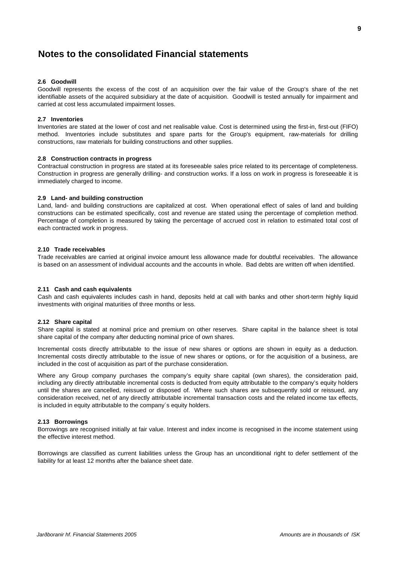### **2.6 Goodwill**

Goodwill represents the excess of the cost of an acquisition over the fair value of the Group's share of the net identifiable assets of the acquired subsidiary at the date of acquisition. Goodwill is tested annually for impairment and carried at cost less accumulated impairment losses.

#### **2.7 Inventories**

Inventories are stated at the lower of cost and net realisable value. Cost is determined using the first-in, first-out (FIFO) method. Inventories include substitutes and spare parts for the Group's equipment, raw-materials for drilling constructions, raw materials for building constructions and other supplies.

#### **2.8 Construction contracts in progress**

Contractual construction in progress are stated at its foreseeable sales price related to its percentage of completeness. Construction in progress are generally drilling- and construction works. If a loss on work in progress is foreseeable it is immediately charged to income.

#### **2.9 Land- and building construction**

Land, land- and building constructions are capitalized at cost. When operational effect of sales of land and building constructions can be estimated specifically, cost and revenue are stated using the percentage of completion method. Percentage of completion is measured by taking the percentage of accrued cost in relation to estimated total cost of each contracted work in progress.

#### **2.10 Trade receivables**

Trade receivables are carried at original invoice amount less allowance made for doubtful receivables. The allowance is based on an assessment of individual accounts and the accounts in whole. Bad debts are written off when identified.

### **2.11 Cash and cash equivalents**

Cash and cash equivalents includes cash in hand, deposits held at call with banks and other short-term highly liquid investments with original maturities of three months or less.

#### **2.12 Share capital**

Share capital is stated at nominal price and premium on other reserves. Share capital in the balance sheet is total share capital of the company after deducting nominal price of own shares.

Incremental costs directly attributable to the issue of new shares or options are shown in equity as a deduction. Incremental costs directly attributable to the issue of new shares or options, or for the acquisition of a business, are included in the cost of acquisition as part of the purchase consideration.

Where any Group company purchases the company's equity share capital (own shares), the consideration paid, including any directly attributable incremental costs is deducted from equity attributable to the company's equity holders until the shares are cancelled, reissued or disposed of. Where such shares are subsequently sold or reissued, any consideration received, net of any directly attributable incremental transaction costs and the related income tax effects, is included in equity attributable to the company´s equity holders.

#### **2.13 Borrowings**

Borrowings are recognised initially at fair value. Interest and index income is recognised in the income statement using the effective interest method.

Borrowings are classified as current liabilities unless the Group has an unconditional right to defer settlement of the liability for at least 12 months after the balance sheet date.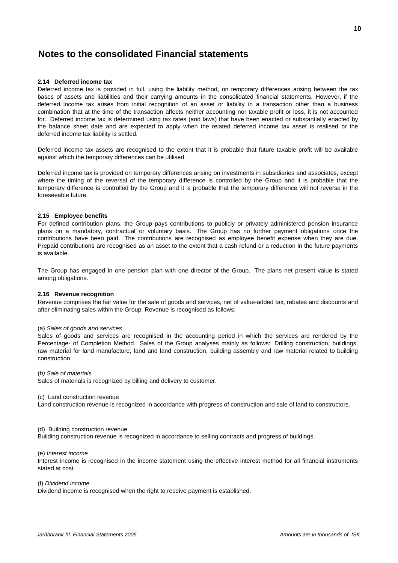### **2.14 Deferred income tax**

Deferred income tax is provided in full, using the liability method, on temporary differences arising between the tax bases of assets and liabilities and their carrying amounts in the consolidated financial statements. However, if the deferred income tax arises from initial recognition of an asset or liability in a transaction other than a business combination that at the time of the transaction affects neither accounting nor taxable profit or loss, it is not accounted for. Deferred income tax is determined using tax rates (and laws) that have been enacted or substantially enacted by the balance sheet date and are expected to apply when the related deferred income tax asset is realised or the deferred income tax liability is settled.

Deferred income tax assets are recognised to the extent that it is probable that future taxable profit will be available against which the temporary differences can be utilised.

Deferred income tax is provided on temporary differences arising on investments in subsidiaries and associates, except where the timing of the reversal of the temporary difference is controlled by the Group and it is probable that the temporary difference is controlled by the Group and it is probable that the temporary difference will not reverse in the foreseeable future.

### **2.15 Employee benefits**

For defined contribution plans, the Group pays contributions to publicly or privately administered pension insurance plans on a mandatory, contractual or voluntary basis. The Group has no further payment obligations once the contributions have been paid. The contributions are recognised as employee benefit expense when they are due. Prepaid contributions are recognised as an asset to the extent that a cash refund or a reduction in the future payments is available.

The Group has engaged in one pension plan with one director of the Group. The plans net present value is stated among obligations.

#### **2.16 Revenue recognition**

Revenue comprises the fair value for the sale of goods and services, net of value-added tax, rebates and discounts and after eliminating sales within the Group. Revenue is recognised as follows:

#### (a) *Sales of goods and services*

Sales of goods and services are recognised in the accounting period in which the services are rendered by the Percentage- of Completion Method. Sales of the Group analyses mainly as follows: Drilling construction, buildings, raw material for land manufacture, land and land construction, building assembly and raw material related to building construction.

#### (*b) Sale of materials*

Sales of materials is recognized by billing and delivery to customer.

(c) Land construction revenue

Land construction revenue is recognized in accordance with progress of construction and sale of land to constructors.

#### (d) Building construction revenue

Building construction revenue is recognized in accordance to selling contracts and progress of buildings.

#### (e) *Interest income*

Interest income is recognised in the income statement using the effective interest method for all financial instruments stated at cost.

#### (f) *Dividend income*

Dividend income is recognised when the right to receive payment is established.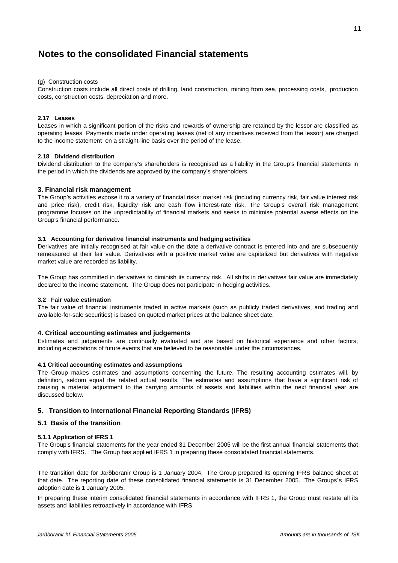#### (g) Construction costs

Construction costs include all direct costs of drilling, land construction, mining from sea, processing costs, production costs, construction costs, depreciation and more.

#### **2.17 Leases**

Leases in which a significant portion of the risks and rewards of ownership are retained by the lessor are classified as operating leases. Payments made under operating leases (net of any incentives received from the lessor) are charged to the income statement on a straight-line basis over the period of the lease.

#### **2.18 Dividend distribution**

Dividend distribution to the company's shareholders is recognised as a liability in the Group's financial statements in the period in which the dividends are approved by the company's shareholders.

### **3. Financial risk management**

The Group's activities expose it to a variety of financial risks: market risk (including currency risk, fair value interest risk and price risk), credit risk, liquidity risk and cash flow interest-rate risk. The Group's overall risk management programme focuses on the unpredictability of financial markets and seeks to minimise potential averse effects on the Group's financial performance.

### **3.1 Accounting for derivative financial instruments and hedging activities**

Derivatives are initially recognised at fair value on the date a derivative contract is entered into and are subsequently remeasured at their fair value. Derivatives with a positive market value are capitalized but derivatives with negative market value are recorded as liability.

The Group has committed in derivatives to diminish its currency risk. All shifts in derivatives fair value are immediately declared to the income statement. The Group does not participate in hedging activities.

#### **3.2 Fair value estimation**

The fair value of financial instruments traded in active markets (such as publicly traded derivatives, and trading and available-for-sale securities) is based on quoted market prices at the balance sheet date.

### **4. Critical accounting estimates and judgements**

Estimates and judgements are continually evaluated and are based on historical experience and other factors, including expectations of future events that are believed to be reasonable under the circumstances.

#### **4.1 Critical accounting estimates and assumptions**

The Group makes estimates and assumptions concerning the future. The resulting accounting estimates will, by definition, seldom equal the related actual results. The estimates and assumptions that have a significant risk of causing a material adjustment to the carrying amounts of assets and liabilities within the next financial year are discussed below.

### **5. Transition to International Financial Reporting Standards (IFRS)**

# **5.1 Basis of the transition**

#### **5.1.1 Application of IFRS 1**

The Group's financial statements for the year ended 31 December 2005 will be the first annual financial statements that comply with IFRS. The Group has applied IFRS 1 in preparing these consolidated financial statements.

The transition date for Jarðboranir Group is 1 January 2004. The Group prepared its opening IFRS balance sheet at that date. The reporting date of these consolidated financial statements is 31 December 2005. The Groups´s IFRS adoption date is 1 January 2005.

In preparing these interim consolidated financial statements in accordance with IFRS 1, the Group must restate all its assets and liabilities retroactively in accordance with IFRS.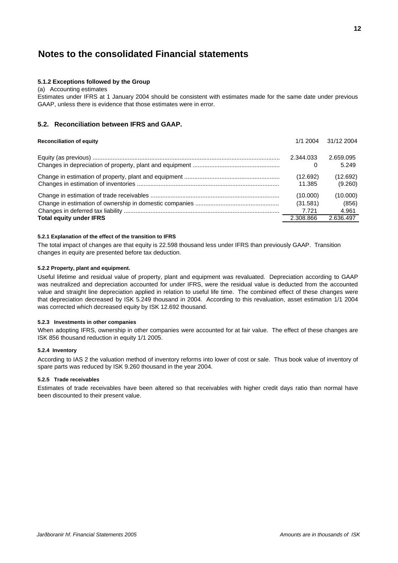### **5.1.2 Exceptions followed by the Group**

#### (a) Accounting estimates

Estimates under IFRS at 1 January 2004 should be consistent with estimates made for the same date under previous GAAP, unless there is evidence that those estimates were in error.

# **5.2. Reconciliation between IFRS and GAAP.**

| <b>Reconciliation of equity</b> | 1/1 2004  | 31/12 2004 |
|---------------------------------|-----------|------------|
|                                 | 2.344.033 | 2.659.095  |
|                                 | 0         | 5.249      |
|                                 | (12.692)  | (12.692)   |
|                                 | 11.385    | (9.260)    |
|                                 | (10.000)  | (10.000)   |
|                                 | (31.581)  | (856)      |
|                                 | 7.721     | 4.961      |
| <b>Total equity under IFRS</b>  | 2.308.866 | 2.636.497  |

### **5.2.1 Explanation of the effect of the transition to IFRS**

The total impact of changes are that equity is 22.598 thousand less under IFRS than previously GAAP. Transition changes in equity are presented before tax deduction.

#### **5.2.2 Property, plant and equipment.**

Useful lifetime and residual value of property, plant and equipment was revaluated. Depreciation according to GAAP was neutralized and depreciation accounted for under IFRS, were the residual value is deducted from the accounted value and straight line depreciation applied in relation to useful life time. The combined effect of these changes were that depreciation decreased by ISK 5.249 thousand in 2004. According to this revaluation, asset estimation 1/1 2004 was corrected which decreased equity by ISK 12.692 thousand.

### **5.2.3 Investments in other companies**

When adopting IFRS, ownership in other companies were accounted for at fair value. The effect of these changes are ISK 856 thousand reduction in equity 1/1 2005.

#### **5.2.4 Inventory**

According to IAS 2 the valuation method of inventory reforms into lower of cost or sale. Thus book value of inventory of spare parts was reduced by ISK 9.260 thousand in the year 2004.

#### **5.2.5 Trade receivables**

Estimates of trade receivables have been altered so that receivables with higher credit days ratio than normal have been discounted to their present value.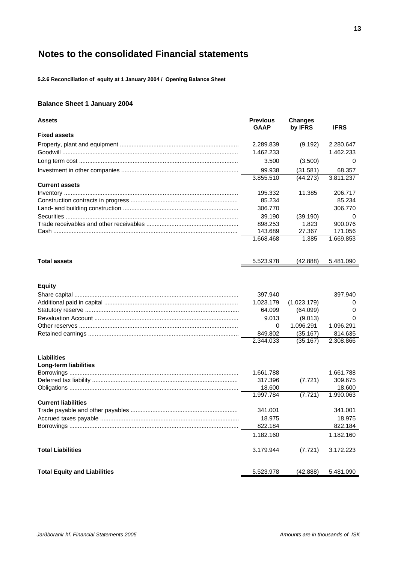**5.2.6 Reconciliation of equity at 1 January 2004 / Opening Balance Sheet**

# **Balance Sheet 1 January 2004**

| <b>Assets</b>                               | <b>Previous</b><br><b>GAAP</b> | <b>Changes</b><br>by IFRS | <b>IFRS</b>          |
|---------------------------------------------|--------------------------------|---------------------------|----------------------|
| <b>Fixed assets</b>                         |                                |                           |                      |
|                                             | 2.289.839                      | (9.192)                   | 2.280.647            |
|                                             | 1.462.233                      |                           | 1.462.233            |
|                                             | 3.500                          | (3.500)                   | 0                    |
|                                             | 99.938                         | (31.581)                  | 68.357               |
|                                             | 3.855.510                      | (44.273)                  | 3.811.237            |
| <b>Current assets</b>                       |                                |                           |                      |
|                                             | 195.332                        | 11.385                    | 206.717              |
|                                             | 85.234                         |                           | 85.234               |
|                                             | 306.770                        |                           | 306.770              |
|                                             | 39.190                         | (39.190)                  | 0                    |
|                                             | 898.253                        | 1.823                     | 900.076              |
|                                             | 143.689                        | 27.367                    | 171.056              |
|                                             | 1.668.468                      | 1.385                     | 1.669.853            |
| <b>Total assets</b>                         | 5.523.978                      | (42.888)                  | 5.481.090            |
|                                             |                                |                           |                      |
| <b>Equity</b>                               |                                |                           |                      |
|                                             | 397.940                        |                           | 397.940              |
|                                             | 1.023.179                      | (1.023.179)               | 0                    |
|                                             | 64.099                         | (64.099)                  | 0                    |
|                                             | 9.013                          | (9.013)                   | 0                    |
|                                             | 0                              | 1.096.291                 | 1.096.291            |
|                                             | 849.802<br>2.344.033           | (35.167)<br>(35.167)      | 814.635<br>2.308.866 |
| <b>Liabilities</b><br>Long-term liabilities |                                |                           |                      |
|                                             | 1.661.788                      |                           | 1.661.788            |
|                                             | 317.396                        | (7.721)                   | 309.675              |
|                                             | 18.600<br>1.997.784            | (7.721)                   | 18.600<br>1.990.063  |
| <b>Current liabilities</b>                  |                                |                           |                      |
|                                             | 341.001                        |                           | 341.001              |
|                                             | 18.975                         |                           | 18.975               |
|                                             | 822.184                        |                           | 822.184              |
|                                             | 1.182.160                      |                           | 1.182.160            |
| <b>Total Liabilities</b>                    | 3.179.944                      | (7.721)                   | 3.172.223            |
| <b>Total Equity and Liabilities</b>         | 5.523.978                      | (42.888)                  | 5.481.090            |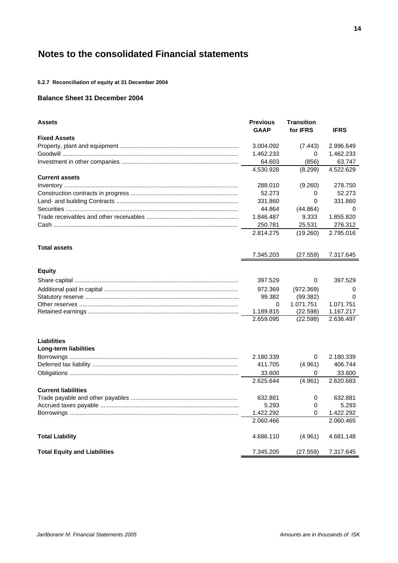**5.2.7 Reconciliation of equity at 31 December 2004**

# **Balance Sheet 31 December 2004**

| <b>Assets</b>                       | <b>Previous</b><br><b>GAAP</b> | <b>Transition</b><br>for <b>IFRS</b> | <b>IFRS</b> |
|-------------------------------------|--------------------------------|--------------------------------------|-------------|
| <b>Fixed Assets</b>                 |                                |                                      |             |
|                                     | 3.004.092                      | (7.443)                              | 2.996.649   |
|                                     | 1.462.233                      | 0                                    | 1.462.233   |
|                                     | 64.603                         | (856)                                | 63.747      |
|                                     | 4.530.928                      | (8.299)                              | 4.522.629   |
| <b>Current assets</b>               |                                |                                      |             |
|                                     | 288.010                        | (9.260)                              | 278.750     |
|                                     | 52.273                         | 0                                    | 52,273      |
|                                     | 331.860                        | 0                                    | 331.860     |
|                                     | 44.864                         | (44.864)                             | 0           |
|                                     | 1.846.487                      | 9.333                                | 1.855.820   |
|                                     | 250.781                        | 25.531                               | 276.312     |
|                                     | 2.814.275                      | (19.260)                             | 2.795.016   |
| <b>Total assets</b>                 |                                |                                      |             |
|                                     | 7.345.203                      | (27.559)                             | 7.317.645   |
| <b>Equity</b>                       |                                |                                      |             |
|                                     | 397.529                        | 0                                    | 397.529     |
|                                     | 972.369                        | (972.369)                            | 0           |
|                                     | 99.382                         | (99.382)                             | $\Omega$    |
|                                     | 0                              | 1.071.751                            | 1.071.751   |
|                                     | 1.189.815                      | (22.598)                             | 1.167.217   |
|                                     | 2.659.095                      | (22.598)                             | 2.636.497   |
| <b>Liabilities</b>                  |                                |                                      |             |
| Long-term liabilities               |                                |                                      |             |
|                                     | 2.180.339                      | $\Omega$                             | 2.180.339   |
|                                     | 411.705                        | (4.961)                              | 406.744     |
|                                     | 33.600                         | 0                                    | 33.600      |
|                                     | 2.625.644                      | (4.961)                              | 2.620.683   |
| <b>Current liabilities</b>          |                                |                                      |             |
|                                     | 632.881                        | 0                                    | 632.881     |
|                                     | 5.293                          | 0                                    | 5.293       |
|                                     | 1.422.292                      | 0                                    | 1.422.292   |
|                                     | 2.060.466                      |                                      | 2.060.465   |
| <b>Total Liability</b>              | 4.686.110                      | (4.961)                              | 4.681.148   |
| <b>Total Equity and Liabilities</b> | 7.345.205                      | (27.559)                             | 7.317.645   |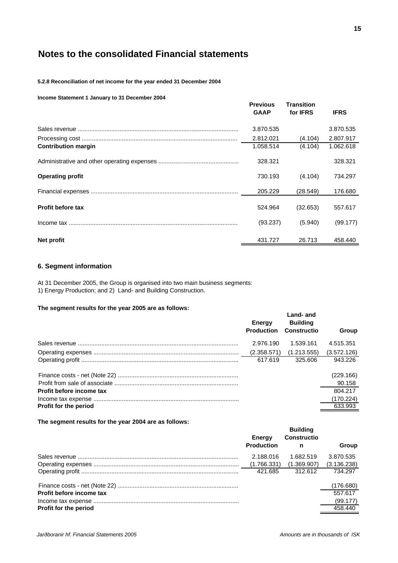**5.2.8 Reconciliation of net income for the year ended 31 December 2004**

#### **Income Statement 1 January to 31 December 2004**

|                            | <b>Previous</b><br><b>GAAP</b> | <b>Transition</b><br>for <b>IFRS</b> | <b>IFRS</b> |
|----------------------------|--------------------------------|--------------------------------------|-------------|
|                            | 3.870.535                      |                                      | 3.870.535   |
|                            | 2.812.021                      | (4.104)                              | 2.807.917   |
| <b>Contribution margin</b> | 1.058.514                      | (4.104)                              | 1.062.618   |
|                            | 328.321                        |                                      | 328.321     |
| <b>Operating profit</b>    | 730.193                        | (4.104)                              | 734.297     |
|                            | 205.229                        | (28.549)                             | 176.680     |
| <b>Profit before tax</b>   | 524.964                        | (32.653)                             | 557.617     |
|                            | (93.237)                       | (5.940)                              | (99.177)    |
| Net profit                 | 431.727                        | 26.713                               | 458.440     |

# **6. Segment information**

At 31 December 2005, the Group is organised into two main business segments: 1) Energy Production; and 2) Land- and Building Construction.

### **The segment results for the year 2005 are as follows:**

| THE SEGRETIC RESULTS FOR THE YEAR 2000 ALE AS TURNWS. |                             |                                             |              |
|-------------------------------------------------------|-----------------------------|---------------------------------------------|--------------|
|                                                       | Energy<br><b>Production</b> | Land- and<br><b>Building</b><br>Constructio | <b>Group</b> |
|                                                       | 2.976.190                   | 1.539.161                                   | 4.515.351    |
|                                                       | (2.358.571)                 | (1.213.555)                                 | (3.572.126)  |
|                                                       | 617.619                     | 325.606                                     | 943.226      |
|                                                       |                             |                                             | (229.166)    |
|                                                       |                             |                                             | 90.158       |
| Profit before income tax                              |                             |                                             | 804.217      |
|                                                       |                             |                                             | (170.224)    |
| <b>Profit for the period</b>                          |                             |                                             | 633.993      |

**The segment results for the year 2004 are as follows:**

|                          | Energy<br><b>Production</b> | <b>Building</b><br><b>Constructio</b><br>n | Group       |
|--------------------------|-----------------------------|--------------------------------------------|-------------|
|                          | 2.188.016                   | 1.682.519                                  | 3.870.535   |
|                          | (1.766.331)                 | (1.369.907)                                | (3.136.238) |
|                          | 421.685                     | 312.612                                    | 734.297     |
|                          |                             |                                            | (176.680)   |
| Profit before income tax |                             |                                            | 557.617     |
|                          |                             |                                            | (99.177)    |
| Profit for the period    |                             |                                            | 458.440     |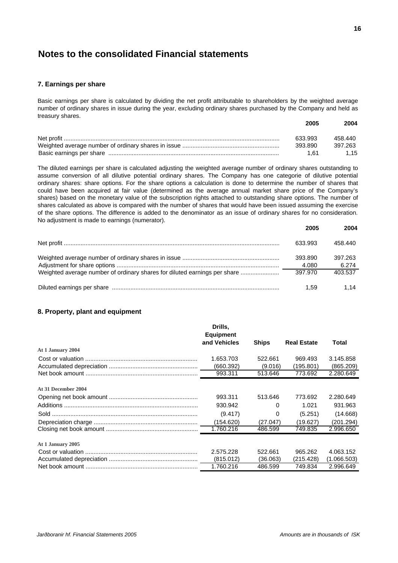### **7. Earnings per share**

Basic earnings per share is calculated by dividing the net profit attributable to shareholders by the weighted average number of ordinary shares in issue during the year, excluding ordinary shares purchased by the Company and held as treasury shares.

| 2005    | 2004    |
|---------|---------|
| 633.993 | 458.440 |
| 393.890 | 397.263 |
| 1 61    | 1.15    |

The diluted earnings per share is calculated adjusting the weighted average number of ordinary shares outstanding to assume conversion of all dilutive potential ordinary shares. The Company has one categorie of dilutive potential ordinary shares: share options. For the share options a calculation is done to determine the number of shares that could have been acquired at fair value (determined as the average annual market share price of the Company's shares) based on the monetary value of the subscription rights attached to outstanding share options. The number of shares calculated as above is compared with the number of shares that would have been issued assuming the exercise of the share options. The difference is added to the denominator as an issue of ordinary shares for no consideration. No adjustment is made to earnings (numerator).

|                                                                           | zuuj             | 2004             |
|---------------------------------------------------------------------------|------------------|------------------|
|                                                                           | 633.993          | 458.440          |
|                                                                           | 393.890<br>4.080 | 397.263<br>6.274 |
| Weighted average number of ordinary shares for diluted earnings per share | 397.970          | 403.537          |
|                                                                           | 1.59             | 1.14             |

# **8. Property, plant and equipment**

|                     | Drills.<br><b>Equipment</b> |              |                    |             |
|---------------------|-----------------------------|--------------|--------------------|-------------|
|                     | and Vehicles                | <b>Ships</b> | <b>Real Estate</b> | Total       |
| At 1 January 2004   |                             |              |                    |             |
|                     | 1.653.703                   | 522.661      | 969.493            | 3.145.858   |
|                     | (660.392)                   | (9.016)      | (195.801)          | (865.209)   |
|                     | 993.311                     | 513.646      | 773.692            | 2.280.649   |
| At 31 December 2004 |                             |              |                    |             |
|                     | 993.311                     | 513.646      | 773.692            | 2.280.649   |
|                     | 930.942                     | 0            | 1.021              | 931.963     |
|                     | (9.417)                     | 0            | (5.251)            | (14.668)    |
|                     | (154.620)                   | (27.047)     | (19.627)           | (201.294)   |
|                     | 1.760.216                   | 486.599      | 749.835            | 2.996.650   |
| At 1 January 2005   |                             |              |                    |             |
|                     | 2.575.228                   | 522.661      | 965.262            | 4.063.152   |
|                     | (815.012)                   | (36.063)     | (215.428)          | (1.066.503) |
|                     | 1.760.216                   | 486.599      | 749.834            | 2.996.649   |

**2005 2004**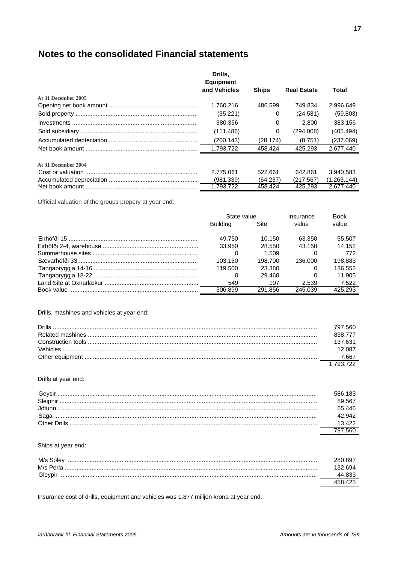|                     | Drills.<br><b>Equipment</b> |              |                    |             |
|---------------------|-----------------------------|--------------|--------------------|-------------|
|                     | and Vehicles                | <b>Ships</b> | <b>Real Estate</b> | Total       |
| At 31 December 2005 |                             |              |                    |             |
|                     | 1.760.216                   | 486.599      | 749.834            | 2.996.649   |
|                     | (35.221)                    | $\Omega$     | (24.581)           | (59.803)    |
|                     | 380.356                     | 0            | 2.800              | 383.156     |
|                     | (111.486)                   | 0            | (294.008)          | (405.494)   |
|                     | (200.143)                   | (28.174)     | (8.751)            | (237.069)   |
|                     | 1.793.722                   | 458.424      | 425.293            | 2.677.440   |
| At 31 December 2004 |                             |              |                    |             |
|                     | 2.775.061                   | 522.661      | 642.861            | 3.940.583   |
|                     | (981.339)                   | (64.237)     | (217.567)          | (1.263.144) |
|                     | 1.793.722                   | 458.424      | 425.293            | 2.677.440   |

Official valuation of the groups propery at year end:

|                                        | State value     |         | Insurance | <b>Book</b> |
|----------------------------------------|-----------------|---------|-----------|-------------|
|                                        | <b>Building</b> | Site    | value     | value       |
| Eirhöfði 15 …………………………………………………………………… | 49.750          | 10.150  | 63.350    | 55.507      |
|                                        | 33.950          | 28.550  | 43.150    | 14.152      |
|                                        |                 | 1.509   |           | 772         |
|                                        | 103.150         | 198.700 | 136.000   | 198.883     |
|                                        | 119.500         | 23.380  |           | 136.552     |
|                                        | 0               | 29.460  |           | 11.905      |
|                                        | 549             | 107     | 2.539     | 7.522       |
|                                        | 306.899         | 291.856 | 245.039   | 425.293     |

# Drills, mashines and vehicles at year end:

| <b>Drills</b> | 797 560   |
|---------------|-----------|
|               | 838 777   |
|               | 137.631   |
|               | 12 087    |
|               | 7.667     |
|               | 1 793 722 |

### Drills at year end:

| Gevsir       | 586 183 |
|--------------|---------|
| Sleipnir     | 89.567  |
| . lötunn     | 65 446  |
| Saga         | 42.942  |
| Other Drills |         |
|              |         |

# Ships at year end:

| M/s Sólev<br>M/s Perla | 280.897 |
|------------------------|---------|
| Gleypir                |         |
|                        |         |

Insurance cost of drills, equipment and vehicles was 1.877 milljon krona at year end.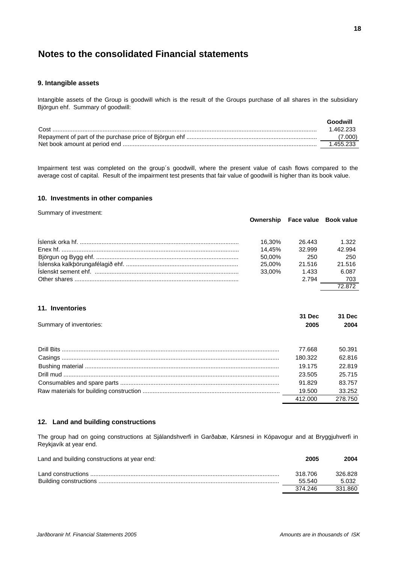### **9. Intangible assets**

Intangible assets of the Group is goodwill which is the result of the Groups purchase of all shares in the subsidiary Björgun ehf. Summary of goodwill:

|      | Goodwill  |
|------|-----------|
| Cost | 1 462 233 |
|      | (7.000)   |
|      | 1.455.233 |

Impairment test was completed on the group´s goodwill, where the present value of cash flows compared to the average cost of capital. Result of the impairment test presents that fair value of goodwill is higher than its book value.

### **10. Investments in other companies**

Summary of investment:

|        |        | Ownership Face value Book value |
|--------|--------|---------------------------------|
| 16.30% | 26.443 | 1.322                           |
| 14.45% | 32.999 | 42.994                          |
| 50.00% | -250   | -250                            |
| 25.00% | 21.516 | 21.516                          |
| 33.00% | 1.433  | 6.087                           |
|        | 2.794  | 703                             |
|        |        | 72 872                          |

# **11. Inventories**

|                         | 31 Dec  | 31 Dec  |
|-------------------------|---------|---------|
| Summary of inventories: | 2005    | 2004    |
|                         | 77.668  | 50.391  |
|                         | 180.322 | 62.816  |
|                         | 19.175  | 22.819  |
|                         | 23.505  | 25.715  |
|                         | 91.829  | 83.757  |
|                         | 19.500  | 33.252  |
|                         | 412,000 | 278.750 |

# **12. Land and building constructions**

The group had on going constructions at Sjálandshverfi in Garðabæ, Kársnesi in Kópavogur and at Bryggjuhverfi in Reykjavík at year end.

| Land and building constructions at year end: | 2005              | 2004             |
|----------------------------------------------|-------------------|------------------|
|                                              | 318.706<br>55.540 | 326.828<br>5.032 |
|                                              | 374 246           | 331.860          |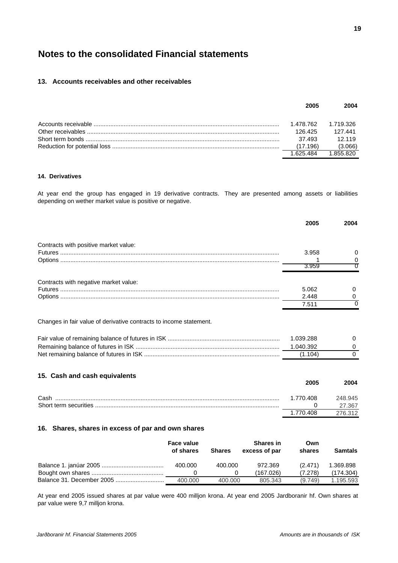# **13. Accounts receivables and other receivables**

| 2005      | 2004      |
|-----------|-----------|
| 1.478.762 | 1.719.326 |
| 126 425   | 127.441   |
| 37.493    | 12.119    |
| (17.196)  | (3.066)   |
| 1 625 484 | 1 855 820 |

### **14. Derivatives**

At year end the group has engaged in 19 derivative contracts. They are presented among assets or liabilities depending on wether market value is positive or negative.

|                                                                    |                  | 2005                              | 2004                      |
|--------------------------------------------------------------------|------------------|-----------------------------------|---------------------------|
| Contracts with positive market value:                              |                  |                                   |                           |
|                                                                    |                  | 3.958                             | 0                         |
|                                                                    |                  |                                   | 0                         |
|                                                                    |                  | 3.959                             | Ω                         |
| Contracts with negative market value:                              |                  |                                   |                           |
|                                                                    |                  | 5.062                             | 0                         |
|                                                                    |                  | 2.448                             | 0                         |
|                                                                    |                  | 7.511                             | $\Omega$                  |
| Changes in fair value of derivative contracts to income statement. |                  | 1.039.288<br>1.040.392<br>(1.104) | $\Omega$<br>0<br>$\Omega$ |
| 15. Cash and cash equivalents                                      |                  | 2005                              | 2004                      |
|                                                                    |                  | 1.770.408                         | 248.945                   |
|                                                                    |                  | 0                                 | 27.367                    |
|                                                                    |                  | 1.770.408                         | 276.312                   |
| 16. Shares, shares in excess of par and own shares                 |                  |                                   |                           |
| <b>Face value</b>                                                  | <b>Shares in</b> | Own                               |                           |

| Face value<br>of shares | <b>Shares</b> | <b>Shares in</b><br>excess of par | Own<br>shares | Samtals   |
|-------------------------|---------------|-----------------------------------|---------------|-----------|
| 400.000                 | 400.000       | 972.369                           | (2.471)       | 1.369.898 |
|                         |               | (167.026)                         | (7.278)       | (174.304) |
| 400.000                 | 400.000       | 805.343                           | (9.749)       | 1.195.593 |

At year end 2005 issued shares at par value were 400 milljon krona. At year end 2005 Jardboranir hf. Own shares at par value were 9,7 milljon krona.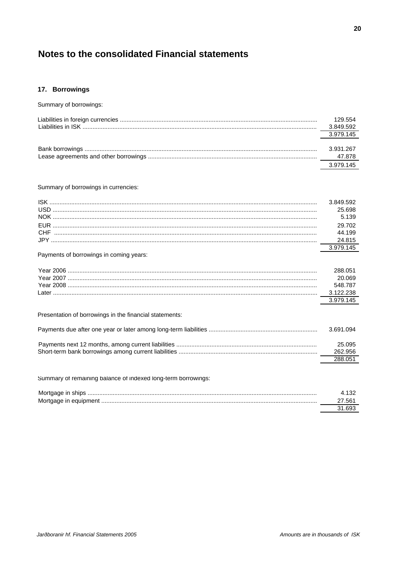# 17. Borrowings

| Summary of borrowings:                                        |                      |
|---------------------------------------------------------------|----------------------|
|                                                               | 129.554<br>3.849.592 |
|                                                               | 3.979.145            |
|                                                               | 3.931.267            |
|                                                               | 47.878               |
|                                                               | 3.979.145            |
|                                                               |                      |
| Summary of borrowings in currencies:                          |                      |
|                                                               | 3.849.592            |
|                                                               | 25.698               |
|                                                               | 5.139                |
|                                                               | 29.702               |
|                                                               | 44.199               |
|                                                               | 24.815<br>3.979.145  |
| Payments of borrowings in coming years:                       |                      |
|                                                               | 288.051              |
|                                                               | 20.069               |
|                                                               | 548.787              |
|                                                               | 3.122.238            |
|                                                               | 3.979.145            |
| Presentation of borrowings in the financial statements:       |                      |
|                                                               | 3.691.094            |
|                                                               | 25.095               |
|                                                               | 262.956              |
|                                                               | 288.051              |
| Summary of remaining balance of indexed long-term borrowings: |                      |
|                                                               | 4.132                |
|                                                               | 27.561               |

31.693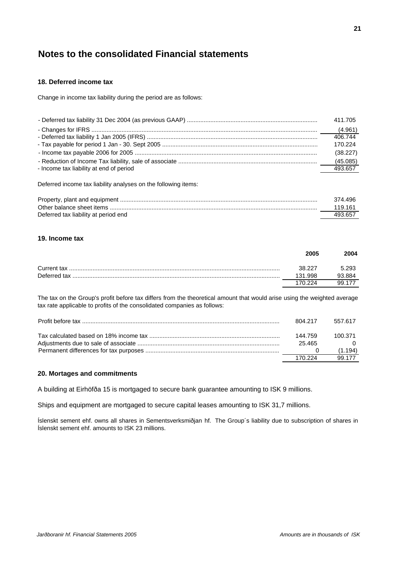# **18. Deferred income tax**

Change in income tax liability during the period are as follows:

|                                         | 411.705  |
|-----------------------------------------|----------|
|                                         |          |
|                                         | 406.744  |
|                                         | 170.224  |
|                                         | (38.227) |
|                                         |          |
| - Income tax liability at end of period | 493.657  |

Deferred income tax liability analyses on the following items:

|                                      | 374.496 |
|--------------------------------------|---------|
|                                      | 119 161 |
| Deferred tax liability at period end | 493.657 |

# **19. Income tax**

|              | 2005    | 2004   |
|--------------|---------|--------|
| Current tax  | 38.227  | 5.293  |
| Deferred tax | 131.998 | 93.884 |
|              | 170 224 | 99 177 |

The tax on the Group's profit before tax differs from the theoretical amount that would arise using the weighted average tax rate applicable to profits of the consolidated companies as follows:

| 804.217 | 557.617 |
|---------|---------|
| 144 759 | 100.371 |
| 25.465  |         |
|         | (1.194) |
| 170 224 | 99 177  |

# **20. Mortages and commitments**

A building at Eirhöfða 15 is mortgaged to secure bank guarantee amounting to ISK 9 millions.

Ships and equipment are mortgaged to secure capital leases amounting to ISK 31,7 millions.

Íslenskt sement ehf. owns all shares in Sementsverksmiðjan hf. The Group´s liability due to subscription of shares in Íslenskt sement ehf. amounts to ISK 23 millions.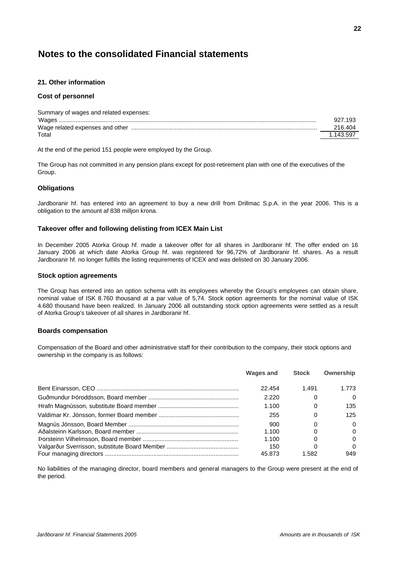# **21. Other information**

# **Cost of personnel**

| 927.193   |
|-----------|
| 216.404   |
| 1.143.597 |
|           |

At the end of the period 151 people were employed by the Group.

The Group has not committed in any pension plans except for post-retirement plan with one of the executives of the Group.

# **Obligations**

Jardboranir hf. has entered into an agreement to buy a new drill from Drillmac S.p.A. in the year 2006. This is a obligation to the amount af 838 milljon krona.

# **Takeover offer and following delisting from ICEX Main List**

In December 2005 Atorka Group hf. made a takeover offer for all shares in Jardboranir hf. The offer ended on 16 January 2006 at which date Atorka Group hf. was registered for 96,72% of Jardboranir hf. shares. As a result Jardboranir hf. no longer fulfills the listing requirements of ICEX and was delisted on 30 January 2006.

### **Stock option agreements**

The Group has entered into an option schema with its employees whereby the Group's employees can obtain share, nominal value of ISK 8.760 thousand at a par value of 5,74. Stock option agreements for the nominal value of ISK 4.680 thousand have been realized. In January 2006 all outstanding stock option agreements were settled as a result of Atorka Group's takeover of all shares in Jardboranir hf.

# **Boards compensation**

Compensation of the Board and other administrative staff for their contribution to the company, their stock options and ownership in the company is as follows:

| <b>Wages and</b> | <b>Stock</b> | Ownership |
|------------------|--------------|-----------|
| 22.454           | 1.491        | 1.773     |
| 2.220            |              | $\Omega$  |
| 1.100            | 0            | 135       |
| 255              |              | 125       |
| 900              |              | $\Omega$  |
| 1.100            |              | $\Omega$  |
| 1.100            |              | $\Omega$  |
| 150              |              | $\Omega$  |
| 45.873           | 1.582        | 949       |

No liabilities of the managing director, board members and general managers to the Group were present at the end of the period.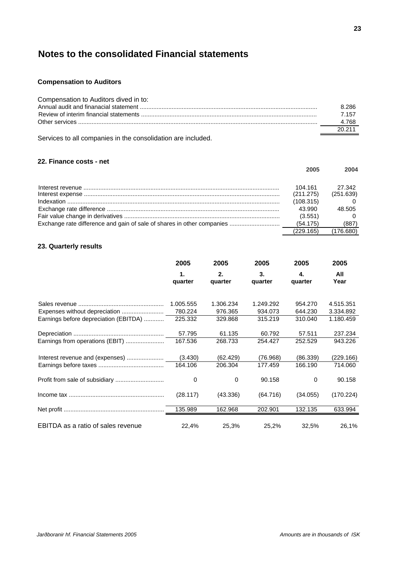# **Compensation to Auditors**

| Compensation to Auditors dived in to: |        |
|---------------------------------------|--------|
|                                       | 8.286  |
|                                       | 7 157  |
|                                       | 4.768  |
|                                       | 20 211 |

Services to all companies in the consolidation are included.

# **22. Finance costs - net**

|                                                                        | 2005      | 2004      |
|------------------------------------------------------------------------|-----------|-----------|
|                                                                        | 104.161   | 27.342    |
|                                                                        | (211.275) | (251.639) |
|                                                                        | (108.315) |           |
|                                                                        | 43.990    | 48.505    |
|                                                                        | (3.551)   |           |
| Exchange rate difference and gain of sale of shares in other companies | (54.175)  | (887)     |
|                                                                        | (229.165) | (176.680) |

# **23. Quarterly results**

|                                       | 2005          | 2005          | 2005          | 2005          | 2005        |
|---------------------------------------|---------------|---------------|---------------|---------------|-------------|
|                                       | 1.<br>quarter | 2.<br>quarter | 3.<br>quarter | 4.<br>quarter | All<br>Year |
|                                       |               |               |               |               |             |
|                                       | 1.005.555     | 1.306.234     | 1.249.292     | 954.270       | 4.515.351   |
| Expenses without depreciation         | 780.224       | 976.365       | 934.073       | 644.230       | 3.334.892   |
| Earnings before depreciation (EBITDA) | 225.332       | 329.868       | 315.219       | 310.040       | 1.180.459   |
|                                       | 57.795        | 61.135        | 60.792        | 57.511        | 237.234     |
| Earnings from operations (EBIT)       | 167.536       | 268.733       | 254.427       | 252.529       | 943.226     |
| Interest revenue and (expenses)       | (3.430)       | (62.429)      | (76.968)      | (86.339)      | (229.166)   |
|                                       | 164.106       | 206.304       | 177.459       | 166.190       | 714.060     |
|                                       | 0             | 0             | 90.158        | $\Omega$      | 90.158      |
|                                       | (28.117)      | (43.336)      | (64.716)      | (34.055)      | (170.224)   |
|                                       | 135.989       | 162.968       | 202.901       | 132.135       | 633.994     |
| EBITDA as a ratio of sales revenue    | 22,4%         | 25,3%         | 25,2%         | 32,5%         | 26,1%       |